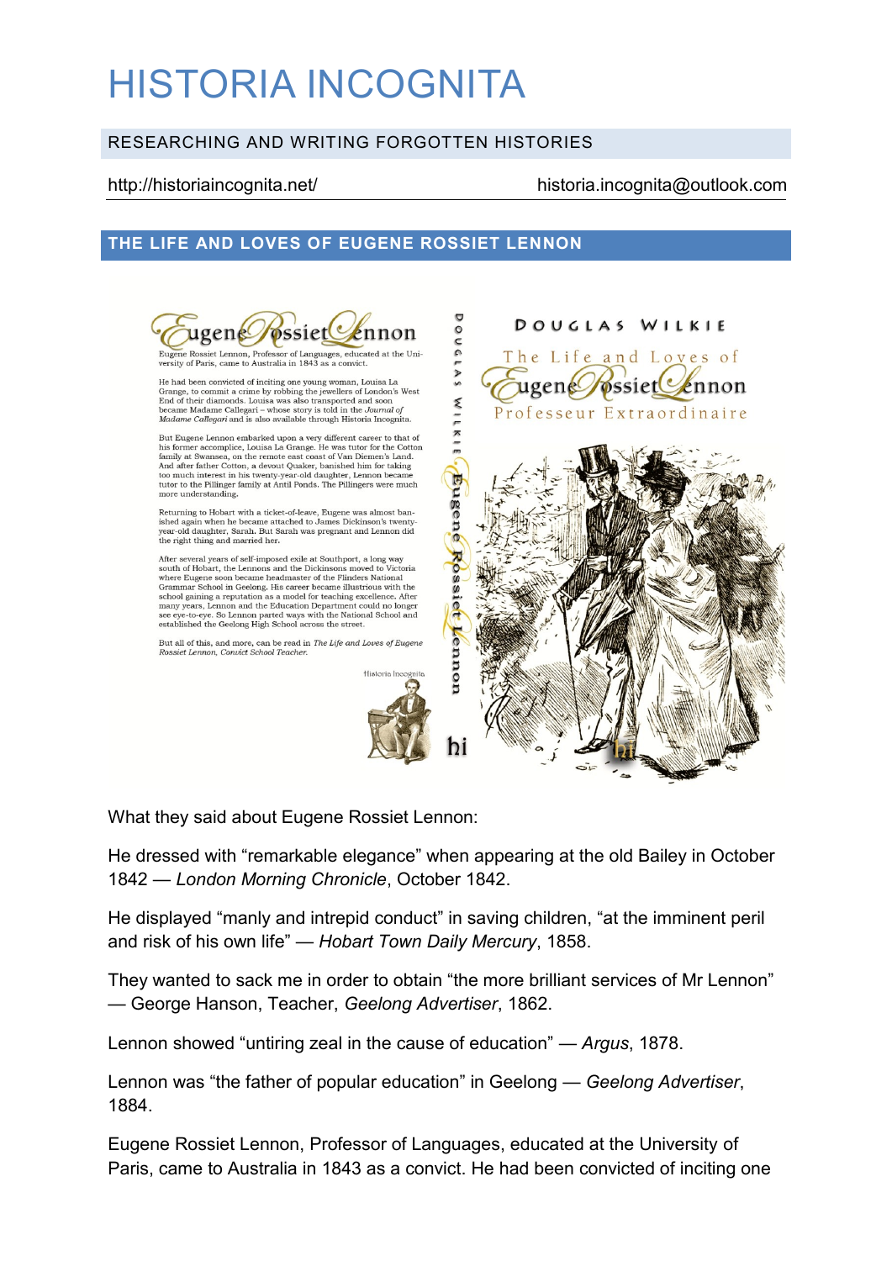# HISTORIA INCOGNITA

# RESEARCHING AND WRITING FORGOTTEN HISTORIES

### http://historiaincognita.net/ historia.incognita@outlook.com

# **THE LIFE AND LOVES OF EUGENE ROSSIET LENNON**





 $\label{eq:1} \textbf{He}\text{ had been convicted of inciting one young woman, Louisa La Grange, to commit a crime by robbing the jewellers of London's West End of their diamonds. Louisa was also transported and soon.}$ became Madame Callegari - whose story is told in the Journal of Madame Callegari and is also available through Historia Incognita.

But Eugene Lennon embarked upon a very different career to that of<br>his former accomplice, Louisa La Grange. He was tutor for the Cotton<br>family at Swansea, on the remote east coast of Van Diemen's Land. rammy at swanssa, on the remore east coast or van Delements Land.<br>And after father Cotton, a devout Quaker, banished him for taking<br>too much interest in his twenty-year-old daughter, Lennon became<br>tutor to the Pillinger fa more understanding.

Returning to Hobart with a ticket-of-leave, Eugene was almost banished again when he became attached to James Dickinson's twenty-year-old daughter, Sarah. But Sarah was pregnant and Lennon did the right thing and married h

After several years of self-imposed exile at Southport, a long way<br>south of Hobart, the Lennons and the Dickinsons moved to Victoria where Eugene soon became headmaster of the Flinders National where Logent solutions are the daminates of the transitional with the school in Gelelong. His career became illustrious with the school gaining a reputation as a model for teaching excellence. After many years, Lennon and established the Geelong High School across the street.

But all of this, and more, can be read in The Life and Loves of Eugene<br>Rossiet Lennon, Convict School Teacher.





What they said about Eugene Rossiet Lennon:

He dressed with "remarkable elegance" when appearing at the old Bailey in October 1842 — *London Morning Chronicle*, October 1842.

He displayed "manly and intrepid conduct" in saving children, "at the imminent peril and risk of his own life" — *Hobart Town Daily Mercury*, 1858.

They wanted to sack me in order to obtain "the more brilliant services of Mr Lennon" — George Hanson, Teacher, *Geelong Advertiser*, 1862.

Lennon showed "untiring zeal in the cause of education" — *Argus*, 1878.

Lennon was "the father of popular education" in Geelong — *Geelong Advertiser*, 1884.

Eugene Rossiet Lennon, Professor of Languages, educated at the University of Paris, came to Australia in 1843 as a convict. He had been convicted of inciting one